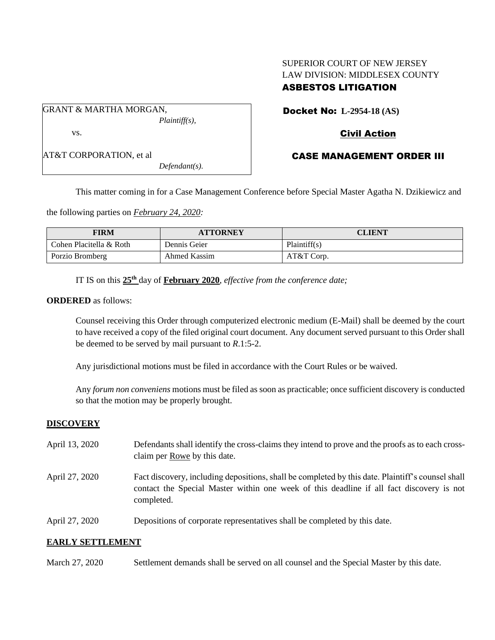# SUPERIOR COURT OF NEW JERSEY LAW DIVISION: MIDDLESEX COUNTY ASBESTOS LITIGATION

GRANT & MARTHA MORGAN, *Plaintiff(s),* vs.

AT&T CORPORATION, et al

*Defendant(s).*

Docket No: **L-2954-18 (AS)**

## Civil Action

## CASE MANAGEMENT ORDER III

This matter coming in for a Case Management Conference before Special Master Agatha N. Dzikiewicz and

the following parties on *February 24, 2020:*

| FIRM                    | <b>ATTORNEY</b> | <b>CLIENT</b> |
|-------------------------|-----------------|---------------|
| Cohen Placitella & Roth | Dennis Geier    | Plaintiff(s)  |
| Porzio Bromberg         | Ahmed Kassim    | AT&T Corp.    |

IT IS on this **25th** day of **February 2020**, *effective from the conference date;*

### **ORDERED** as follows:

Counsel receiving this Order through computerized electronic medium (E-Mail) shall be deemed by the court to have received a copy of the filed original court document. Any document served pursuant to this Order shall be deemed to be served by mail pursuant to *R*.1:5-2.

Any jurisdictional motions must be filed in accordance with the Court Rules or be waived.

Any *forum non conveniens* motions must be filed as soon as practicable; once sufficient discovery is conducted so that the motion may be properly brought.

## **DISCOVERY**

- April 13, 2020 Defendants shall identify the cross-claims they intend to prove and the proofs as to each crossclaim per Rowe by this date. April 27, 2020 Fact discovery, including depositions, shall be completed by this date. Plaintiff's counsel shall
- contact the Special Master within one week of this deadline if all fact discovery is not completed.
- April 27, 2020 Depositions of corporate representatives shall be completed by this date.

## **EARLY SETTLEMENT**

March 27, 2020 Settlement demands shall be served on all counsel and the Special Master by this date.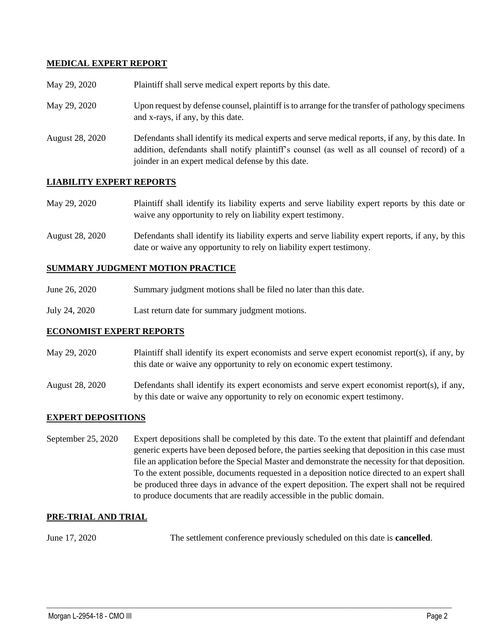## **MEDICAL EXPERT REPORT**

| May 29, 2020           | Plaintiff shall serve medical expert reports by this date.                                                                                                                                                                                               |
|------------------------|----------------------------------------------------------------------------------------------------------------------------------------------------------------------------------------------------------------------------------------------------------|
| May 29, 2020           | Upon request by defense counsel, plaintiff is to arrange for the transfer of pathology specimens<br>and x-rays, if any, by this date.                                                                                                                    |
| <b>August 28, 2020</b> | Defendants shall identify its medical experts and serve medical reports, if any, by this date. In<br>addition, defendants shall notify plaintiff's counsel (as well as all counsel of record) of a<br>joinder in an expert medical defense by this date. |

## **LIABILITY EXPERT REPORTS**

| May 29, 2020 | Plaintiff shall identify its liability experts and serve liability expert reports by this date or |
|--------------|---------------------------------------------------------------------------------------------------|
|              | waive any opportunity to rely on liability expert testimony.                                      |

August 28, 2020 Defendants shall identify its liability experts and serve liability expert reports, if any, by this date or waive any opportunity to rely on liability expert testimony.

#### **SUMMARY JUDGMENT MOTION PRACTICE**

- June 26, 2020 Summary judgment motions shall be filed no later than this date.
- July 24, 2020 Last return date for summary judgment motions.

### **ECONOMIST EXPERT REPORTS**

- May 29, 2020 Plaintiff shall identify its expert economists and serve expert economist report(s), if any, by this date or waive any opportunity to rely on economic expert testimony.
- August 28, 2020 Defendants shall identify its expert economists and serve expert economist report(s), if any, by this date or waive any opportunity to rely on economic expert testimony.

### **EXPERT DEPOSITIONS**

September 25, 2020 Expert depositions shall be completed by this date. To the extent that plaintiff and defendant generic experts have been deposed before, the parties seeking that deposition in this case must file an application before the Special Master and demonstrate the necessity for that deposition. To the extent possible, documents requested in a deposition notice directed to an expert shall be produced three days in advance of the expert deposition. The expert shall not be required to produce documents that are readily accessible in the public domain.

### **PRE-TRIAL AND TRIAL**

June 17, 2020 The settlement conference previously scheduled on this date is **cancelled**.

 $\_$  , and the set of the set of the set of the set of the set of the set of the set of the set of the set of the set of the set of the set of the set of the set of the set of the set of the set of the set of the set of th